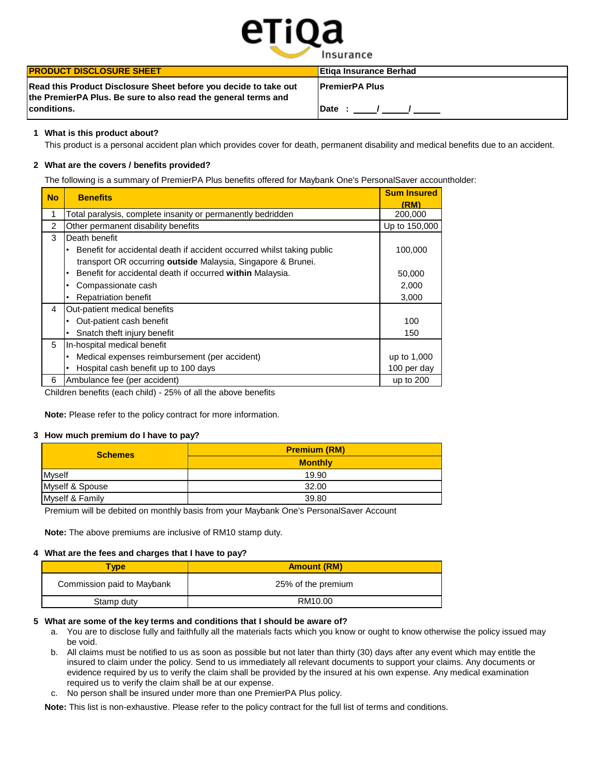

| <b>PRODUCT DISCLOSURE SHEET</b>                                                                                                    | <b>Etiga Insurance Berhad</b> |
|------------------------------------------------------------------------------------------------------------------------------------|-------------------------------|
| Read this Product Disclosure Sheet before you decide to take out<br>the PremierPA Plus. Be sure to also read the general terms and | <b>IPremierPA Plus</b>        |
| <b>conditions.</b>                                                                                                                 | <b>IDate:</b>                 |

## **1 What is this product about?**

This product is a personal accident plan which provides cover for death, permanent disability and medical benefits due to an accident.

## **2 What are the covers / benefits provided?**

The following is a summary of PremierPA Plus benefits offered for Maybank One's PersonalSaver accountholder:

| <b>No</b> | <b>Benefits</b>                                                        | <b>Sum Insured</b><br>(RM) |
|-----------|------------------------------------------------------------------------|----------------------------|
|           | Total paralysis, complete insanity or permanently bedridden            | 200,000                    |
| 2         | Other permanent disability benefits                                    | Up to 150,000              |
| 3         | Death benefit                                                          |                            |
|           | Benefit for accidental death if accident occurred whilst taking public | 100.000                    |
|           | transport OR occurring outside Malaysia, Singapore & Brunei.           |                            |
|           | Benefit for accidental death if occurred within Malaysia.              | 50,000                     |
|           | Compassionate cash<br>٠                                                | 2,000                      |
|           | <b>Repatriation benefit</b>                                            | 3,000                      |
| 4         | Out-patient medical benefits                                           |                            |
|           | Out-patient cash benefit                                               | 100                        |
|           | Snatch theft injury benefit<br>٠                                       | 150                        |
| 5         | In-hospital medical benefit                                            |                            |
|           | Medical expenses reimbursement (per accident)                          | up to 1,000                |
|           | Hospital cash benefit up to 100 days                                   | 100 per day                |
| 6         | Ambulance fee (per accident)                                           | up to 200                  |

Children benefits (each child) - 25% of all the above benefits

**Note:** Please refer to the policy contract for more information.

### **3 How much premium do I have to pay?**

| <b>Schemes</b>  | <b>Premium (RM)</b> |
|-----------------|---------------------|
|                 | <b>Monthly</b>      |
| <b>Myself</b>   | 19.90               |
| Myself & Spouse | 32.00               |
| Myself & Family | 39.80               |

Premium will be debited on monthly basis from your Maybank One's PersonalSaver Account

**Note:** The above premiums are inclusive of RM10 stamp duty.

### **4 What are the fees and charges that I have to pay?**

| Type                       | <b>Amount (RM)</b> |
|----------------------------|--------------------|
| Commission paid to Maybank | 25% of the premium |
| Stamp duty                 | RM10.00            |

### **5 What are some of the key terms and conditions that I should be aware of?**

- a. You are to disclose fully and faithfully all the materials facts which you know or ought to know otherwise the policy issued may be void.
- b. All claims must be notified to us as soon as possible but not later than thirty (30) days after any event which may entitle the insured to claim under the policy. Send to us immediately all relevant documents to support your claims. Any documents or evidence required by us to verify the claim shall be provided by the insured at his own expense. Any medical examination required us to verify the claim shall be at our expense.
- c. No person shall be insured under more than one PremierPA Plus policy.

**Note:** This list is non-exhaustive. Please refer to the policy contract for the full list of terms and conditions.